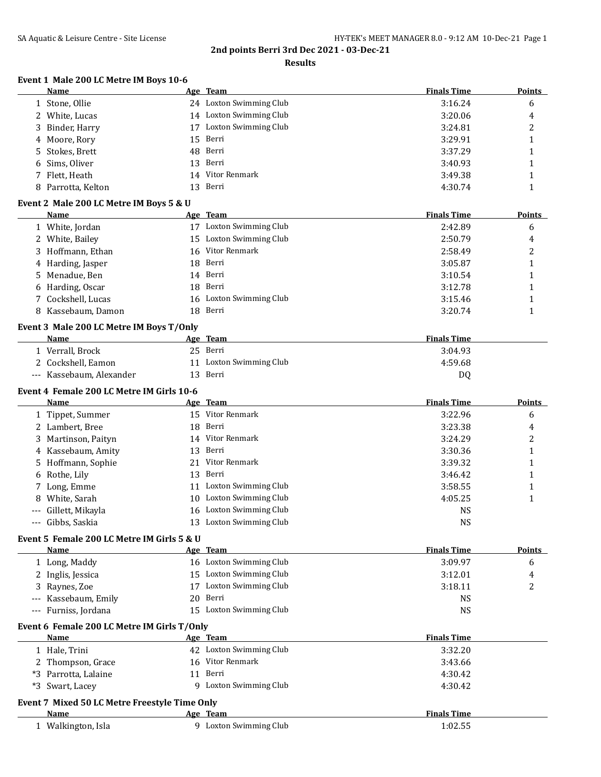#### **Results**

### **Event 1 Male 200 LC Metre IM Boys 10-6**

| - 00 Ho Metre IM Doys 10<br>Name              | Age Team |                         | <b>Finals Time</b> | <b>Points</b>  |
|-----------------------------------------------|----------|-------------------------|--------------------|----------------|
| 1 Stone, Ollie                                |          | 24 Loxton Swimming Club | 3:16.24            | 6              |
| 2 White, Lucas                                |          | 14 Loxton Swimming Club | 3:20.06            | 4              |
| 3<br>Binder, Harry                            |          | 17 Loxton Swimming Club | 3:24.81            | $\overline{c}$ |
| Moore, Rory<br>4                              | 15       | Berri                   | 3:29.91            | 1              |
| Stokes, Brett<br>5                            | 48       | Berri                   | 3:37.29            | 1              |
| Sims, Oliver<br>6                             | 13       | Berri                   | 3:40.93            | 1              |
| 7 Flett, Heath                                |          | 14 Vitor Renmark        | 3:49.38            | 1              |
| 8 Parrotta, Kelton                            | 13       | Berri                   | 4:30.74            | 1              |
| Event 2 Male 200 LC Metre IM Boys 5 & U       |          |                         |                    |                |
| Name                                          | Age Team |                         | <b>Finals Time</b> | <b>Points</b>  |
| 1 White, Jordan                               |          | 17 Loxton Swimming Club | 2:42.89            | 6              |
| 2 White, Bailey                               |          | 15 Loxton Swimming Club | 2:50.79            | 4              |
| 3 Hoffmann, Ethan                             | 16       | Vitor Renmark           | 2:58.49            | 2              |
| Harding, Jasper<br>4                          | 18       | Berri                   | 3:05.87            | 1              |
| Menadue, Ben<br>5.                            | 14 Berri |                         | 3:10.54            | 1              |
| 6 Harding, Oscar                              | 18       | Berri                   | 3:12.78            | 1              |
| 7 Cockshell, Lucas                            | 16       | Loxton Swimming Club    | 3:15.46            | 1              |
| 8 Kassebaum, Damon                            | 18       | Berri                   | 3:20.74            | 1              |
| Event 3 Male 200 LC Metre IM Boys T/Only      |          |                         |                    |                |
| Name                                          | Age Team |                         | <b>Finals Time</b> |                |
| 1 Verrall, Brock                              | 25 Berri |                         | 3:04.93            |                |
| 2 Cockshell, Eamon                            |          | 11 Loxton Swimming Club | 4:59.68            |                |
| --- Kassebaum, Alexander                      | 13 Berri |                         | DQ                 |                |
| Event 4 Female 200 LC Metre IM Girls 10-6     |          |                         |                    |                |
| Name                                          | Age Team |                         | <b>Finals Time</b> | <b>Points</b>  |
| 1 Tippet, Summer                              |          | 15 Vitor Renmark        | 3:22.96            | 6              |
| 2 Lambert, Bree                               | 18 Berri |                         | 3:23.38            | 4              |
| 3 Martinson, Paityn                           |          | 14 Vitor Renmark        | 3:24.29            | 2              |
| Kassebaum, Amity<br>4                         | 13       | Berri                   | 3:30.36            | 1              |
| Hoffmann, Sophie<br>5.                        |          | 21 Vitor Renmark        | 3:39.32            | 1              |
| Rothe, Lily<br>6                              | 13       | Berri                   | 3:46.42            | 1              |
| 7 Long, Emme                                  |          | 11 Loxton Swimming Club | 3:58.55            | 1              |
| White, Sarah<br>8                             |          | 10 Loxton Swimming Club | 4:05.25            | 1              |
| Gillett, Mikayla                              |          | 16 Loxton Swimming Club | <b>NS</b>          |                |
| Gibbs, Saskia                                 |          | 13 Loxton Swimming Club | <b>NS</b>          |                |
| Event 5 Female 200 LC Metre IM Girls 5 & U    |          |                         |                    |                |
| Name                                          | Age Team |                         | <b>Finals Time</b> | <b>Points</b>  |
| 1 Long, Maddy                                 |          | 16 Loxton Swimming Club | 3:09.97            | 6              |
| 2 Inglis, Jessica                             |          | 15 Loxton Swimming Club | 3:12.01            | 4              |
| 3 Raynes, Zoe                                 |          | 17 Loxton Swimming Club | 3:18.11            | 2              |
| Kassebaum, Emily                              | 20       | Berri                   | <b>NS</b>          |                |
| --- Furniss, Jordana                          |          | 15 Loxton Swimming Club | <b>NS</b>          |                |
| Event 6 Female 200 LC Metre IM Girls T/Only   |          |                         |                    |                |
| Name                                          | Age Team |                         | <b>Finals Time</b> |                |
| 1 Hale, Trini                                 |          | 42 Loxton Swimming Club | 3:32.20            |                |
| 2 Thompson, Grace                             |          | 16 Vitor Renmark        | 3:43.66            |                |
| *3 Parrotta, Lalaine                          | 11 Berri |                         | 4:30.42            |                |
| *3 Swart, Lacey                               |          | 9 Loxton Swimming Club  | 4:30.42            |                |
| Event 7 Mixed 50 LC Metre Freestyle Time Only |          |                         |                    |                |
| Name                                          | Age Team |                         | <b>Finals Time</b> |                |
| 1 Walkington, Isla                            |          | 9 Loxton Swimming Club  | 1:02.55            |                |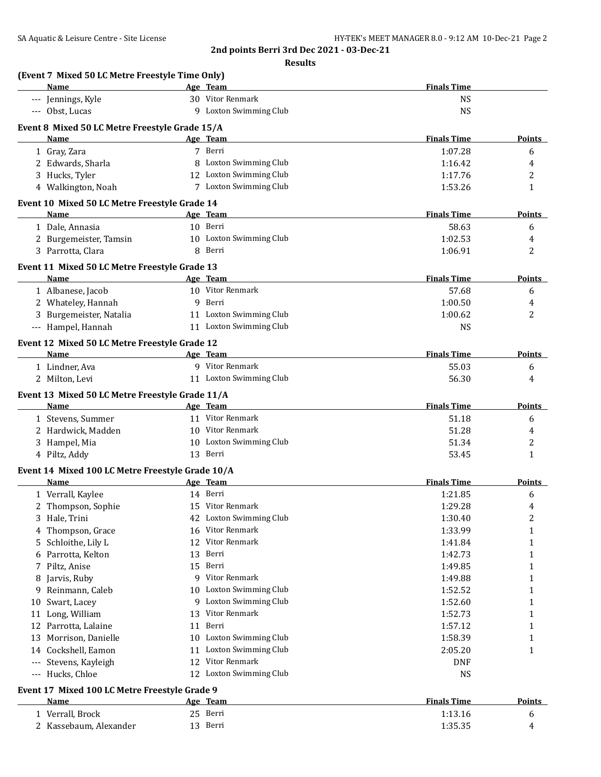|    | Name                                                  |    | Age Team                | <b>Finals Time</b> |               |
|----|-------------------------------------------------------|----|-------------------------|--------------------|---------------|
|    | --- Jennings, Kyle                                    |    | 30 Vitor Renmark        | <b>NS</b>          |               |
|    | --- Obst, Lucas                                       |    | 9 Loxton Swimming Club  | <b>NS</b>          |               |
|    | Event 8 Mixed 50 LC Metre Freestyle Grade 15/A        |    |                         |                    |               |
|    | <b>Name</b>                                           |    | Age Team                | <b>Finals Time</b> | <b>Points</b> |
|    | 1 Gray, Zara                                          |    | 7 Berri                 | 1:07.28            | 6             |
|    | 2 Edwards, Sharla                                     |    | 8 Loxton Swimming Club  | 1:16.42            | 4             |
|    | 3 Hucks, Tyler                                        |    | 12 Loxton Swimming Club | 1:17.76            | 2             |
|    | 4 Walkington, Noah                                    |    | 7 Loxton Swimming Club  | 1:53.26            | 1             |
|    | Event 10 Mixed 50 LC Metre Freestyle Grade 14         |    |                         |                    |               |
|    | Name                                                  |    | Age Team                | <b>Finals Time</b> | <b>Points</b> |
|    | 1 Dale, Annasia                                       |    | 10 Berri                | 58.63              | 6             |
|    | 2 Burgemeister, Tamsin                                |    | 10 Loxton Swimming Club | 1:02.53            | 4             |
|    | 3 Parrotta, Clara                                     |    | 8 Berri                 | 1:06.91            | 2             |
|    |                                                       |    |                         |                    |               |
|    | Event 11 Mixed 50 LC Metre Freestyle Grade 13<br>Name |    | Age Team                | <b>Finals Time</b> | Points        |
|    | 1 Albanese, Jacob                                     |    | 10 Vitor Renmark        | 57.68              | 6             |
|    | 2 Whateley, Hannah                                    | 9  | Berri                   | 1:00.50            |               |
|    | 3 Burgemeister, Natalia                               |    | 11 Loxton Swimming Club | 1:00.62            | 4<br>2        |
|    | --- Hampel, Hannah                                    |    | 11 Loxton Swimming Club | <b>NS</b>          |               |
|    |                                                       |    |                         |                    |               |
|    | Event 12 Mixed 50 LC Metre Freestyle Grade 12         |    |                         |                    |               |
|    | Name                                                  |    | Age Team                | <b>Finals Time</b> | <b>Points</b> |
|    | 1 Lindner, Ava                                        |    | 9 Vitor Renmark         | 55.03              | 6             |
|    | 2 Milton, Levi                                        |    | 11 Loxton Swimming Club | 56.30              | 4             |
|    | Event 13 Mixed 50 LC Metre Freestyle Grade 11/A       |    |                         |                    |               |
|    | Name                                                  |    | Age Team                | <b>Finals Time</b> | <b>Points</b> |
|    | 1 Stevens, Summer                                     |    | 11 Vitor Renmark        | 51.18              | 6             |
|    | 2 Hardwick, Madden                                    |    | 10 Vitor Renmark        | 51.28              | 4             |
|    | 3 Hampel, Mia                                         |    | 10 Loxton Swimming Club | 51.34              | 2             |
|    | 4 Piltz, Addy                                         |    | 13 Berri                | 53.45              | 1             |
|    | Event 14 Mixed 100 LC Metre Freestyle Grade 10/A      |    |                         |                    |               |
|    | Name                                                  |    | Age Team                | <b>Finals Time</b> | <b>Points</b> |
|    | 1 Verrall, Kaylee                                     |    | 14 Berri                | 1:21.85            | 6             |
|    | 2 Thompson, Sophie                                    |    | 15 Vitor Renmark        | 1:29.28            | 4             |
|    | 3 Hale, Trini                                         |    | 42 Loxton Swimming Club | 1:30.40            | 2             |
| 4  | Thompson, Grace                                       |    | 16 Vitor Renmark        | 1:33.99            | 1             |
| 5  | Schloithe, Lily L                                     |    | 12 Vitor Renmark        | 1:41.84            | 1             |
| 6  | Parrotta, Kelton                                      | 13 | Berri                   | 1:42.73            | 1             |
| 7  | Piltz, Anise                                          |    | 15 Berri                | 1:49.85            | 1             |
| 8  | Jarvis, Ruby                                          |    | 9 Vitor Renmark         | 1:49.88            | 1             |
| 9  | Reinmann, Caleb                                       |    | 10 Loxton Swimming Club | 1:52.52            | 1             |
| 10 | Swart, Lacey                                          | 9  | Loxton Swimming Club    | 1:52.60            | 1             |
| 11 | Long, William                                         | 13 | Vitor Renmark           | 1:52.73            | 1             |
| 12 | Parrotta, Lalaine                                     | 11 | Berri                   | 1:57.12            | 1             |
| 13 | Morrison, Danielle                                    | 10 | Loxton Swimming Club    | 1:58.39            | 1             |
|    | 14 Cockshell, Eamon                                   | 11 | Loxton Swimming Club    | 2:05.20            | 1             |
|    | --- Stevens, Kayleigh                                 | 12 | Vitor Renmark           | <b>DNF</b>         |               |
|    | --- Hucks, Chloe                                      |    | 12 Loxton Swimming Club | <b>NS</b>          |               |
|    | Event 17 Mixed 100 LC Metre Freestyle Grade 9         |    |                         |                    |               |
|    | Name                                                  |    | Age Team                | <b>Finals Time</b> | <b>Points</b> |
|    |                                                       |    |                         |                    |               |
|    | 1 Verrall, Brock                                      |    | 25 Berri                | 1:13.16            | 6             |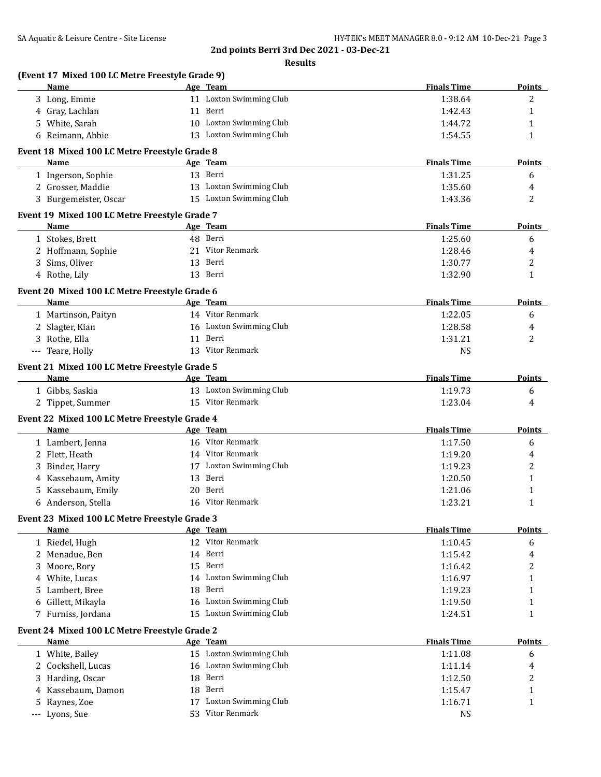|     | (Event 17 Mixed 100 LC Metre Freestyle Grade 9)<br>Name |    | Age Team                  | <b>Finals Time</b> | <b>Points</b> |
|-----|---------------------------------------------------------|----|---------------------------|--------------------|---------------|
|     | 3 Long, Emme                                            |    | 11 Loxton Swimming Club   | 1:38.64            | 2             |
|     | 4 Gray, Lachlan                                         |    | 11 Berri                  | 1:42.43            | 1             |
|     | 5 White, Sarah                                          |    | 10 Loxton Swimming Club   | 1:44.72            | 1             |
|     | 6 Reimann, Abbie                                        |    | 13 Loxton Swimming Club   | 1:54.55            | $\mathbf{1}$  |
|     | Event 18 Mixed 100 LC Metre Freestyle Grade 8           |    |                           |                    |               |
|     | Name                                                    |    | Age Team                  | <b>Finals Time</b> | Points        |
|     | 1 Ingerson, Sophie                                      |    | 13 Berri                  | 1:31.25            | 6             |
|     | 2 Grosser, Maddie                                       |    | 13 Loxton Swimming Club   | 1:35.60            | 4             |
|     | 3 Burgemeister, Oscar                                   |    | 15 Loxton Swimming Club   | 1:43.36            | 2             |
|     | Event 19 Mixed 100 LC Metre Freestyle Grade 7           |    |                           |                    |               |
|     | Name                                                    |    | Age Team                  | <b>Finals Time</b> | <b>Points</b> |
|     | 1 Stokes, Brett                                         |    | 48 Berri                  | 1:25.60            | 6             |
|     | 2 Hoffmann, Sophie                                      |    | 21 Vitor Renmark          | 1:28.46            | 4             |
|     | 3 Sims, Oliver                                          |    | 13 Berri                  | 1:30.77            | 2             |
|     | 4 Rothe, Lily                                           |    | 13 Berri                  | 1:32.90            | $\mathbf{1}$  |
|     | Event 20 Mixed 100 LC Metre Freestyle Grade 6           |    |                           |                    |               |
|     | Name                                                    |    | Age Team                  | <b>Finals Time</b> | Points        |
|     | 1 Martinson, Paityn                                     |    | 14 Vitor Renmark          | 1:22.05            | 6             |
|     | 2 Slagter, Kian                                         |    | 16 Loxton Swimming Club   | 1:28.58            | 4             |
|     | 3 Rothe, Ella                                           |    | 11 Berri                  | 1:31.21            | 2             |
|     | --- Teare, Holly                                        |    | 13 Vitor Renmark          | <b>NS</b>          |               |
|     | Event 21 Mixed 100 LC Metre Freestyle Grade 5           |    |                           |                    |               |
|     | Name                                                    |    | Age Team                  | <b>Finals Time</b> | Points        |
|     | 1 Gibbs, Saskia                                         |    | 13 Loxton Swimming Club   | 1:19.73            | 6             |
|     | 2 Tippet, Summer                                        |    | 15 Vitor Renmark          | 1:23.04            | 4             |
|     |                                                         |    |                           |                    |               |
|     | Event 22 Mixed 100 LC Metre Freestyle Grade 4<br>Name   |    | Age Team                  | <b>Finals Time</b> | Points        |
|     | 1 Lambert, Jenna                                        |    | 16 Vitor Renmark          | 1:17.50            | 6             |
|     | 2 Flett, Heath                                          |    | 14 Vitor Renmark          | 1:19.20            | 4             |
|     |                                                         |    | 17 Loxton Swimming Club   | 1:19.23            | 2             |
| 3   | Binder, Harry                                           |    |                           |                    |               |
| 4   | Kassebaum, Amity                                        |    | 13 Berri                  | 1:20.50            | 1             |
| 5   | Kassebaum, Emily                                        | 20 | Berri<br>16 Vitor Renmark | 1:21.06            | 1             |
| 6   | Anderson, Stella                                        |    |                           | 1:23.21            | $\mathbf{1}$  |
|     | Event 23 Mixed 100 LC Metre Freestyle Grade 3<br>Name   |    | Age Team                  | <b>Finals Time</b> | Points        |
|     |                                                         |    | 12 Vitor Renmark          | 1:10.45            |               |
|     | 1 Riedel, Hugh                                          |    | 14 Berri                  |                    | 6             |
|     | 2 Menadue, Ben                                          |    | 15 Berri                  | 1:15.42            | 4             |
|     | 3 Moore, Rory                                           |    |                           | 1:16.42            | 2             |
| 4   | White, Lucas                                            |    | 14 Loxton Swimming Club   | 1:16.97            | 1             |
| 5.  | Lambert, Bree                                           |    | 18 Berri                  | 1:19.23            | 1             |
| 6   | Gillett, Mikayla                                        |    | 16 Loxton Swimming Club   | 1:19.50            | 1             |
|     | 7 Furniss, Jordana                                      |    | 15 Loxton Swimming Club   | 1:24.51            | 1             |
|     | Event 24 Mixed 100 LC Metre Freestyle Grade 2           |    |                           |                    |               |
|     | <b>Name</b>                                             |    | Age Team                  | <b>Finals Time</b> | <b>Points</b> |
|     | 1 White, Bailey                                         |    | 15 Loxton Swimming Club   | 1:11.08            | 6             |
|     | 2 Cockshell, Lucas                                      |    | 16 Loxton Swimming Club   | 1:11.14            | 4             |
| 3   | Harding, Oscar                                          | 18 | Berri                     | 1:12.50            | 2             |
| 4   | Kassebaum, Damon                                        | 18 | Berri                     | 1:15.47            | $\mathbf{1}$  |
| 5   | Raynes, Zoe                                             | 17 | Loxton Swimming Club      | 1:16.71            | 1             |
| --- | Lyons, Sue                                              |    | 53 Vitor Renmark          | <b>NS</b>          |               |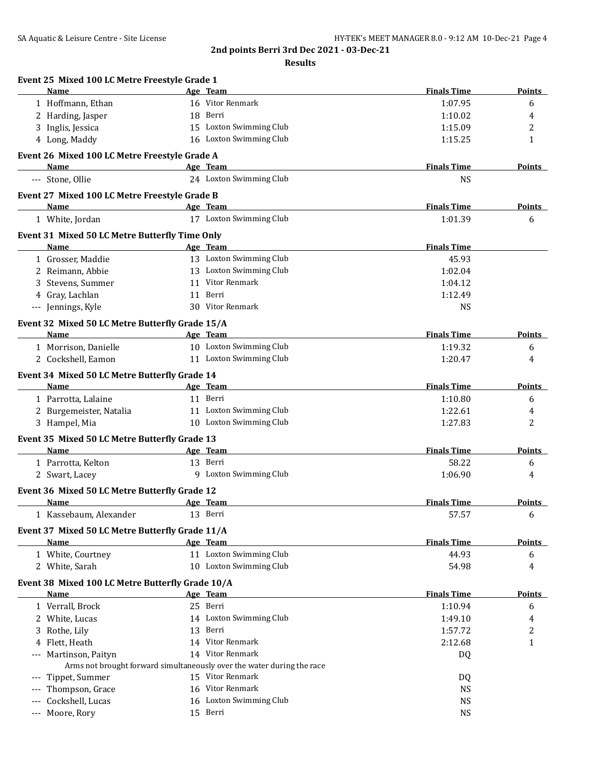| Event 25 Mixed 100 LC Metre Freestyle Grade 1<br>Name        | Age Team                                                               | <b>Finals Time</b> | Points        |
|--------------------------------------------------------------|------------------------------------------------------------------------|--------------------|---------------|
| 1 Hoffmann, Ethan                                            | 16 Vitor Renmark                                                       | 1:07.95            | 6             |
| 2 Harding, Jasper                                            | 18 Berri                                                               | 1:10.02            | 4             |
| 3 Inglis, Jessica                                            | 15 Loxton Swimming Club                                                | 1:15.09            | 2             |
| 4 Long, Maddy                                                | 16 Loxton Swimming Club                                                | 1:15.25            | $\mathbf{1}$  |
|                                                              |                                                                        |                    |               |
| Event 26 Mixed 100 LC Metre Freestyle Grade A<br><b>Name</b> | Age Team                                                               | <b>Finals Time</b> | <b>Points</b> |
| --- Stone, Ollie                                             | 24 Loxton Swimming Club                                                | <b>NS</b>          |               |
| Event 27 Mixed 100 LC Metre Freestyle Grade B                |                                                                        |                    |               |
| Name                                                         | Age Team                                                               | <b>Finals Time</b> | <b>Points</b> |
| 1 White, Jordan                                              | 17 Loxton Swimming Club                                                | 1:01.39            | 6             |
|                                                              |                                                                        |                    |               |
| Event 31 Mixed 50 LC Metre Butterfly Time Only<br>Name       | Age Team                                                               | <b>Finals Time</b> |               |
| 1 Grosser, Maddie                                            | 13 Loxton Swimming Club                                                | 45.93              |               |
| 2 Reimann, Abbie                                             | 13 Loxton Swimming Club                                                |                    |               |
|                                                              | 11 Vitor Renmark                                                       | 1:02.04            |               |
| 3 Stevens, Summer                                            |                                                                        | 1:04.12            |               |
| 4 Gray, Lachlan                                              | 11 Berri                                                               | 1:12.49            |               |
| --- Jennings, Kyle                                           | 30 Vitor Renmark                                                       | <b>NS</b>          |               |
| Event 32 Mixed 50 LC Metre Butterfly Grade 15/A              |                                                                        |                    |               |
| Name                                                         | Age Team                                                               | <b>Finals Time</b> | Points        |
| 1 Morrison, Danielle                                         | 10 Loxton Swimming Club                                                | 1:19.32            | 6             |
| 2 Cockshell, Eamon                                           | 11 Loxton Swimming Club                                                | 1:20.47            | 4             |
| Event 34 Mixed 50 LC Metre Butterfly Grade 14                |                                                                        |                    |               |
| Name                                                         | Age Team                                                               | <b>Finals Time</b> | Points        |
| 1 Parrotta, Lalaine                                          | 11 Berri                                                               | 1:10.80            | 6             |
| 2 Burgemeister, Natalia                                      | 11 Loxton Swimming Club                                                | 1:22.61            | 4             |
| 3 Hampel, Mia                                                | 10 Loxton Swimming Club                                                | 1:27.83            | 2             |
| Event 35 Mixed 50 LC Metre Butterfly Grade 13                |                                                                        |                    |               |
| Name                                                         | Age Team                                                               | <b>Finals Time</b> | <b>Points</b> |
| 1 Parrotta, Kelton                                           | 13 Berri                                                               | 58.22              | 6             |
| 2 Swart, Lacey                                               | 9 Loxton Swimming Club                                                 | 1:06.90            | 4             |
|                                                              |                                                                        |                    |               |
| Event 36 Mixed 50 LC Metre Butterfly Grade 12                |                                                                        |                    |               |
| Name                                                         | Age Team                                                               | <b>Finals Time</b> | Points        |
| 1 Kassebaum, Alexander                                       | 13 Berri                                                               | 57.57              | 6             |
| Event 37 Mixed 50 LC Metre Butterfly Grade 11/A              |                                                                        |                    |               |
| Name                                                         | Age Team                                                               | <b>Finals Time</b> | <b>Points</b> |
| 1 White, Courtney                                            | 11 Loxton Swimming Club                                                | 44.93              | 6             |
| 2 White, Sarah                                               | 10 Loxton Swimming Club                                                | 54.98              | 4             |
| Event 38 Mixed 100 LC Metre Butterfly Grade 10/A             |                                                                        |                    |               |
| <b>Name</b>                                                  | Age Team                                                               | <b>Finals Time</b> | <b>Points</b> |
| 1 Verrall, Brock                                             | 25 Berri                                                               | 1:10.94            | 6             |
| 2 White, Lucas                                               | 14 Loxton Swimming Club                                                | 1:49.10            | 4             |
| Rothe, Lily<br>3                                             | 13 Berri                                                               | 1:57.72            | 2             |
| 4 Flett, Heath                                               | 14 Vitor Renmark                                                       | 2:12.68            | 1             |
| Martinson, Paityn                                            | 14 Vitor Renmark                                                       | DQ                 |               |
|                                                              | Arms not brought forward simultaneously over the water during the race |                    |               |
| Tippet, Summer                                               | 15 Vitor Renmark                                                       | DQ                 |               |
| Thompson, Grace                                              | 16 Vitor Renmark                                                       | <b>NS</b>          |               |
| Cockshell, Lucas                                             | 16 Loxton Swimming Club                                                | <b>NS</b>          |               |
| Moore, Rory<br>$---$                                         | 15 Berri                                                               | <b>NS</b>          |               |
|                                                              |                                                                        |                    |               |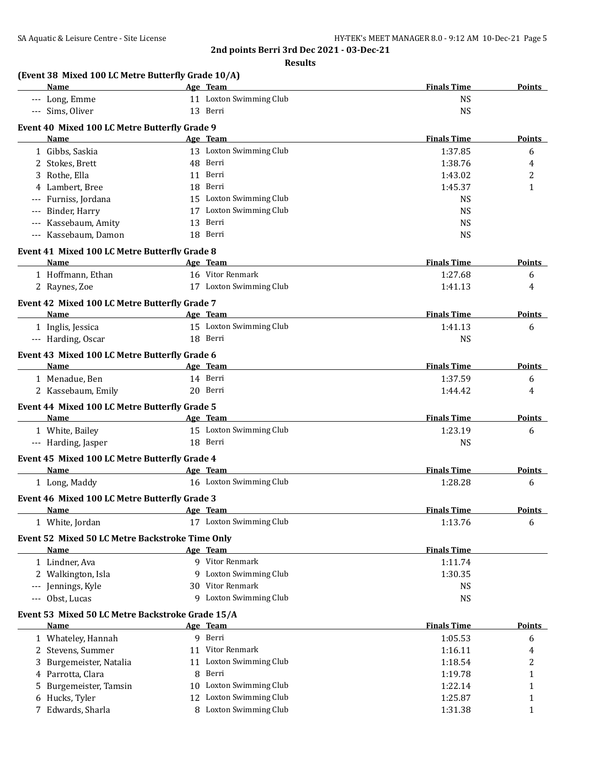| (Event 38 Mixed 100 LC Metre Butterfly Grade 10/A)       |                                                                                                                |                    |               |
|----------------------------------------------------------|----------------------------------------------------------------------------------------------------------------|--------------------|---------------|
| Name                                                     | Age Team                                                                                                       | <b>Finals Time</b> | <b>Points</b> |
| --- Long, Emme                                           | 11 Loxton Swimming Club                                                                                        | <b>NS</b>          |               |
| --- Sims, Oliver                                         | 13 Berri                                                                                                       | <b>NS</b>          |               |
| Event 40 Mixed 100 LC Metre Butterfly Grade 9            |                                                                                                                |                    |               |
| <b>Name</b>                                              | Age Team                                                                                                       | <b>Finals Time</b> | <b>Points</b> |
| 1 Gibbs, Saskia                                          | 13 Loxton Swimming Club                                                                                        | 1:37.85            | 6             |
| 2 Stokes, Brett                                          | 48 Berri                                                                                                       | 1:38.76            | 4             |
| 3 Rothe, Ella                                            | 11 Berri                                                                                                       | 1:43.02            | 2             |
| 4 Lambert, Bree                                          | 18 Berri                                                                                                       | 1:45.37            | $\mathbf{1}$  |
| --- Furniss, Jordana                                     | 15 Loxton Swimming Club                                                                                        | <b>NS</b>          |               |
| Binder, Harry<br>---                                     | 17 Loxton Swimming Club                                                                                        | <b>NS</b>          |               |
| --- Kassebaum, Amity                                     | 13<br>Berri                                                                                                    | <b>NS</b>          |               |
| --- Kassebaum, Damon                                     | 18 Berri                                                                                                       | <b>NS</b>          |               |
| Event 41 Mixed 100 LC Metre Butterfly Grade 8            |                                                                                                                |                    |               |
| <b>Name</b>                                              | Age Team                                                                                                       | <b>Finals Time</b> | <b>Points</b> |
| 1 Hoffmann, Ethan                                        | 16 Vitor Renmark                                                                                               | 1:27.68            | 6             |
| 2 Raynes, Zoe                                            | 17 Loxton Swimming Club                                                                                        | 1:41.13            | 4             |
| Event 42 Mixed 100 LC Metre Butterfly Grade 7            |                                                                                                                |                    |               |
| Name                                                     | Age Team                                                                                                       | <b>Finals Time</b> | Points        |
| 1 Inglis, Jessica                                        | 15 Loxton Swimming Club                                                                                        | 1:41.13            | 6             |
| --- Harding, Oscar                                       | 18 Berri                                                                                                       | <b>NS</b>          |               |
|                                                          |                                                                                                                |                    |               |
| Event 43 Mixed 100 LC Metre Butterfly Grade 6            |                                                                                                                | <b>Finals Time</b> |               |
| <b>Name</b>                                              | Age Team                                                                                                       |                    | <b>Points</b> |
| 1 Menadue, Ben                                           | 14 Berri<br>20 Berri                                                                                           | 1:37.59            | 6             |
| 2 Kassebaum, Emily                                       |                                                                                                                | 1:44.42            | 4             |
| Event 44 Mixed 100 LC Metre Butterfly Grade 5            |                                                                                                                |                    |               |
| Name                                                     | Age Team                                                                                                       | <b>Finals Time</b> | <b>Points</b> |
| 1 White, Bailey                                          | 15 Loxton Swimming Club                                                                                        | 1:23.19            | 6             |
| --- Harding, Jasper                                      | 18 Berri                                                                                                       | <b>NS</b>          |               |
| Event 45 Mixed 100 LC Metre Butterfly Grade 4            |                                                                                                                |                    |               |
| Name                                                     | Age Team                                                                                                       | <b>Finals Time</b> | <b>Points</b> |
| 1 Long, Maddy                                            | 16 Loxton Swimming Club                                                                                        | 1:28.28            | 6             |
| Event 46 Mixed 100 LC Metre Butterfly Grade 3            |                                                                                                                |                    |               |
| <b>Name</b>                                              | e de la contradición de la contradición de la contradición de la contradición de la contradición de la contrad | <b>Finals Time</b> | <b>Points</b> |
| 1 White, Jordan                                          | 17 Loxton Swimming Club                                                                                        | 1:13.76            | 6             |
| Event 52 Mixed 50 LC Metre Backstroke Time Only          |                                                                                                                |                    |               |
| <b>Name</b>                                              | Age Team                                                                                                       | <b>Finals Time</b> |               |
| 1 Lindner, Ava                                           | 9 Vitor Renmark                                                                                                | 1:11.74            |               |
| 2 Walkington, Isla                                       | 9 Loxton Swimming Club                                                                                         | 1:30.35            |               |
| --- Jennings, Kyle                                       | 30 Vitor Renmark                                                                                               | <b>NS</b>          |               |
| --- Obst, Lucas                                          | 9 Loxton Swimming Club                                                                                         | <b>NS</b>          |               |
|                                                          |                                                                                                                |                    |               |
| Event 53 Mixed 50 LC Metre Backstroke Grade 15/A<br>Name |                                                                                                                | <b>Finals Time</b> | <b>Points</b> |
| 1 Whateley, Hannah                                       | <u>Age Team</u><br>9 Berri                                                                                     | 1:05.53            |               |
|                                                          | 11 Vitor Renmark                                                                                               |                    | 6             |
| 2 Stevens, Summer                                        | 11 Loxton Swimming Club                                                                                        | 1:16.11            | 4             |
| Burgemeister, Natalia                                    |                                                                                                                | 1:18.54            | 2             |
| 4 Parrotta, Clara                                        | Berri<br>8                                                                                                     | 1:19.78            | 1             |
| Burgemeister, Tamsin<br>5                                | 10 Loxton Swimming Club<br>12 Loxton Swimming Club                                                             | 1:22.14            | 1             |
| Hucks, Tyler<br>6                                        | 8 Loxton Swimming Club                                                                                         | 1:25.87            | 1             |
| 7 Edwards, Sharla                                        |                                                                                                                | 1:31.38            | 1             |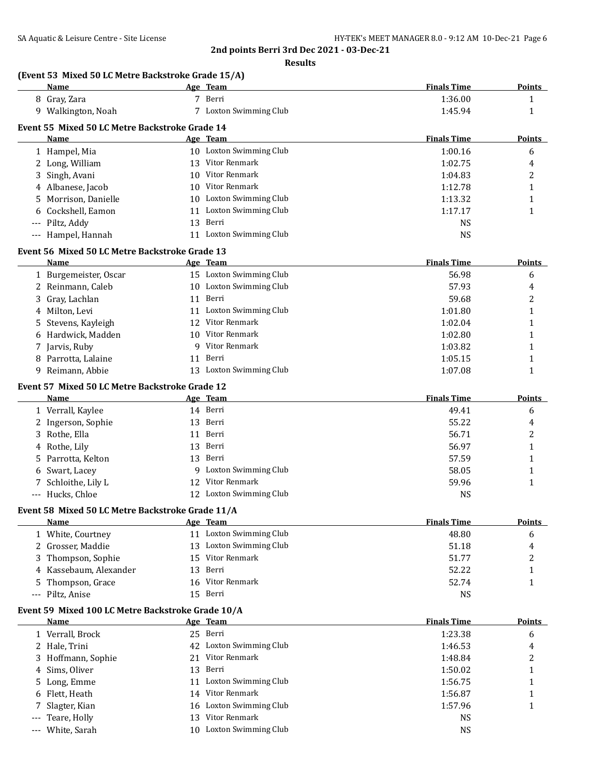**Results**

|       | (Event 53 Mixed 50 LC Metre Backstroke Grade 15/A)<br>Name |    | Age Team                                 | <b>Finals Time</b> | <b>Points</b> |
|-------|------------------------------------------------------------|----|------------------------------------------|--------------------|---------------|
|       | 8 Gray, Zara                                               |    | 7 Berri                                  | 1:36.00            | 1             |
|       | 9 Walkington, Noah                                         |    | 7 Loxton Swimming Club                   | 1:45.94            | 1             |
|       | Event 55 Mixed 50 LC Metre Backstroke Grade 14             |    |                                          |                    |               |
|       | Name                                                       |    | Age Team                                 | <b>Finals Time</b> | Points        |
|       | 1 Hampel, Mia                                              |    | 10 Loxton Swimming Club                  | 1:00.16            | 6             |
|       | 2 Long, William                                            | 13 | Vitor Renmark                            | 1:02.75            | 4             |
| 3     | Singh, Avani                                               | 10 | Vitor Renmark                            | 1:04.83            | 2             |
|       | 4 Albanese, Jacob                                          |    | 10 Vitor Renmark                         | 1:12.78            | $\mathbf{1}$  |
| 5.    | Morrison, Danielle                                         |    | 10 Loxton Swimming Club                  | 1:13.32            | 1             |
| 6     | Cockshell, Eamon                                           |    | 11 Loxton Swimming Club                  | 1:17.17            | $\mathbf{1}$  |
|       | Piltz, Addy                                                |    | 13 Berri                                 | <b>NS</b>          |               |
| $---$ | --- Hampel, Hannah                                         |    | 11 Loxton Swimming Club                  | <b>NS</b>          |               |
|       |                                                            |    |                                          |                    |               |
|       | Event 56 Mixed 50 LC Metre Backstroke Grade 13             |    |                                          |                    |               |
|       | Name                                                       |    | Age Team                                 | <b>Finals Time</b> | <b>Points</b> |
|       | 1 Burgemeister, Oscar                                      |    | 15 Loxton Swimming Club                  | 56.98              | 6             |
|       | 2 Reinmann, Caleb                                          |    | 10 Loxton Swimming Club                  | 57.93              | 4             |
| 3     | Gray, Lachlan                                              |    | 11 Berri                                 | 59.68              | 2             |
| 4     | Milton, Levi                                               |    | 11 Loxton Swimming Club                  | 1:01.80            | $\mathbf{1}$  |
| 5     | Stevens, Kayleigh                                          |    | 12 Vitor Renmark                         | 1:02.04            | 1             |
| 6     | Hardwick, Madden                                           |    | 10 Vitor Renmark                         | 1:02.80            | 1             |
|       | 7 Jarvis, Ruby                                             |    | 9 Vitor Renmark                          | 1:03.82            | 1             |
| 8     | Parrotta, Lalaine                                          |    | 11 Berri                                 | 1:05.15            | 1             |
|       | 9 Reimann, Abbie                                           |    | 13 Loxton Swimming Club                  | 1:07.08            | $\mathbf{1}$  |
|       | Event 57 Mixed 50 LC Metre Backstroke Grade 12             |    |                                          |                    |               |
|       | Name                                                       |    | Age Team                                 | <b>Finals Time</b> | <b>Points</b> |
|       | 1 Verrall, Kaylee                                          |    | 14 Berri                                 | 49.41              | 6             |
|       | 2 Ingerson, Sophie                                         |    | 13 Berri                                 | 55.22              | 4             |
|       | 3 Rothe, Ella                                              |    | 11 Berri                                 | 56.71              | 2             |
| 4     | Rothe, Lily                                                | 13 | Berri                                    | 56.97              | 1             |
| 5.    | Parrotta, Kelton                                           |    | 13 Berri                                 | 57.59              | 1             |
| 6     | Swart, Lacey                                               |    | 9 Loxton Swimming Club                   | 58.05              | 1             |
| 7     | Schloithe, Lily L                                          |    | 12 Vitor Renmark                         | 59.96              | $\mathbf{1}$  |
|       | --- Hucks, Chloe                                           |    | 12 Loxton Swimming Club                  | <b>NS</b>          |               |
|       |                                                            |    |                                          |                    |               |
|       | Event 58 Mixed 50 LC Metre Backstroke Grade 11/A<br>Name   |    | Age Team                                 | <b>Finals Time</b> | <b>Points</b> |
|       |                                                            |    | 11 Loxton Swimming Club                  |                    |               |
|       | 1 White, Courtney                                          |    |                                          | 48.80              | 6             |
|       | 2 Grosser, Maddie                                          |    | 13 Loxton Swimming Club<br>Vitor Renmark | 51.18              | 4             |
|       | Thompson, Sophie                                           | 15 |                                          | 51.77              | 2             |
|       | 4 Kassebaum, Alexander                                     | 13 | Berri                                    | 52.22              | 1             |
| 5     | Thompson, Grace                                            | 16 | Vitor Renmark                            | 52.74              | 1             |
| $---$ | Piltz, Anise                                               |    | 15 Berri                                 | <b>NS</b>          |               |
|       | Event 59 Mixed 100 LC Metre Backstroke Grade 10/A          |    |                                          |                    |               |
|       | Name                                                       |    | Age Team                                 | <b>Finals Time</b> | <b>Points</b> |
|       | 1 Verrall, Brock                                           |    | 25 Berri                                 | 1:23.38            | 6             |
|       | 2 Hale, Trini                                              | 42 | <b>Loxton Swimming Club</b>              | 1:46.53            | 4             |
|       | 3 Hoffmann, Sophie                                         |    | 21 Vitor Renmark                         | 1:48.84            | 2             |
| 4     | Sims, Oliver                                               | 13 | Berri                                    | 1:50.02            | 1             |
| 5.    | Long, Emme                                                 |    | 11 Loxton Swimming Club                  | 1:56.75            | 1             |
| 6     | Flett, Heath                                               |    | 14 Vitor Renmark                         | 1:56.87            | 1             |
| 7     | Slagter, Kian                                              |    | 16 Loxton Swimming Club                  | 1:57.96            | 1             |
| $---$ | Teare, Holly                                               |    | 13 Vitor Renmark                         | <b>NS</b>          |               |
| $---$ | White, Sarah                                               |    | 10 Loxton Swimming Club                  | <b>NS</b>          |               |

--- White, Sarah 10 Loxton Swimming Club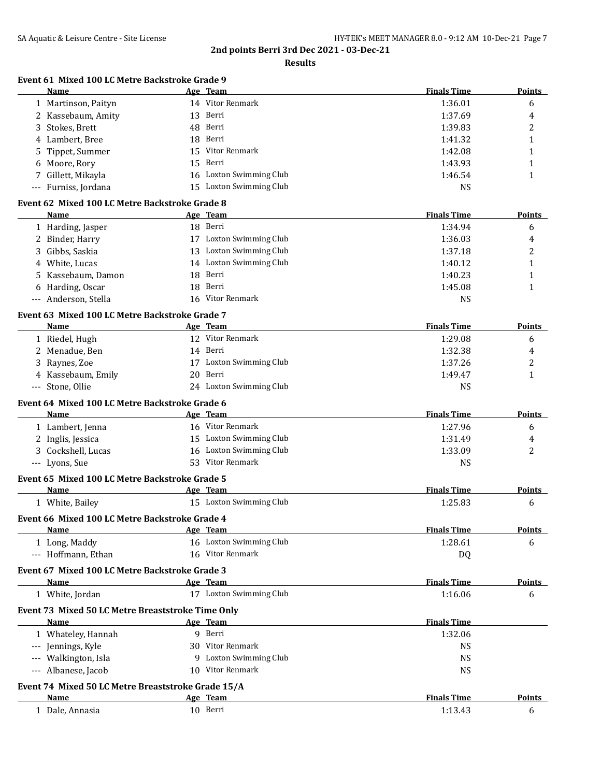|                                                           | <b>Results</b>                      |                               |               |
|-----------------------------------------------------------|-------------------------------------|-------------------------------|---------------|
| Event 61 Mixed 100 LC Metre Backstroke Grade 9            |                                     | <b>Finals Time</b>            |               |
| Name<br>1 Martinson, Paityn                               | Age Team<br>14 Vitor Renmark        | 1:36.01                       | Points<br>6   |
| 2 Kassebaum, Amity                                        | 13 Berri                            | 1:37.69                       | 4             |
| 3 Stokes, Brett                                           | 48 Berri                            | 1:39.83                       | 2             |
| 4 Lambert, Bree                                           | 18 Berri                            | 1:41.32                       | $\mathbf{1}$  |
| 5 Tippet, Summer                                          | 15 Vitor Renmark                    | 1:42.08                       | $\mathbf{1}$  |
| 6 Moore, Rory                                             | 15 Berri                            | 1:43.93                       | $\mathbf{1}$  |
| 7 Gillett, Mikayla                                        | 16 Loxton Swimming Club             | 1:46.54                       | $\mathbf{1}$  |
| --- Furniss, Jordana                                      | 15 Loxton Swimming Club             | <b>NS</b>                     |               |
| Event 62 Mixed 100 LC Metre Backstroke Grade 8            |                                     |                               |               |
| <b>Name</b>                                               | Age Team                            | <b>Finals Time</b>            | <u>Points</u> |
| 1 Harding, Jasper                                         | 18 Berri                            | 1:34.94                       | 6             |
| 2 Binder, Harry                                           | 17 Loxton Swimming Club             | 1:36.03                       | 4             |
| 3 Gibbs, Saskia                                           | 13 Loxton Swimming Club             | 1:37.18                       | 2             |
| 4 White, Lucas                                            | 14 Loxton Swimming Club             | 1:40.12                       | $\mathbf{1}$  |
| 5 Kassebaum, Damon                                        | 18 Berri                            | 1:40.23                       | 1             |
| 6 Harding, Oscar                                          | 18 Berri                            | 1:45.08                       | $\mathbf{1}$  |
| --- Anderson, Stella                                      | 16 Vitor Renmark                    | <b>NS</b>                     |               |
| Event 63 Mixed 100 LC Metre Backstroke Grade 7            |                                     |                               |               |
| Name                                                      | Age Team                            | <b>Finals Time</b>            | Points        |
| 1 Riedel, Hugh                                            | 12 Vitor Renmark                    | 1:29.08                       | 6             |
| 2 Menadue, Ben                                            | 14 Berri                            | 1:32.38                       | 4             |
| 3 Raynes, Zoe                                             | 17 Loxton Swimming Club             | 1:37.26                       | 2             |
| 4 Kassebaum, Emily                                        | 20 Berri                            | 1:49.47                       | $\mathbf{1}$  |
| --- Stone, Ollie                                          | 24 Loxton Swimming Club             | <b>NS</b>                     |               |
| Event 64 Mixed 100 LC Metre Backstroke Grade 6<br>Name    | Age Team                            | <b>Finals Time</b>            | <b>Points</b> |
|                                                           | 16 Vitor Renmark                    | 1:27.96                       |               |
| 1 Lambert, Jenna                                          | 15 Loxton Swimming Club             | 1:31.49                       | 6             |
| 2 Inglis, Jessica                                         | 16 Loxton Swimming Club             |                               | 4             |
| 3 Cockshell, Lucas<br>--- Lyons, Sue                      | 53 Vitor Renmark                    | 1:33.09<br><b>NS</b>          | 2             |
| Event 65 Mixed 100 LC Metre Backstroke Grade 5            |                                     |                               |               |
| Name                                                      | Age Team                            | <b>Finals Time</b>            | <u>Points</u> |
| 1 White, Bailey                                           | 15 Loxton Swimming Club             | 1:25.83                       | 6             |
| Event 66 Mixed 100 LC Metre Backstroke Grade 4            |                                     |                               |               |
| Name                                                      | Age Team                            | <b>Finals Time</b>            | <b>Points</b> |
| 1 Long, Maddy                                             | 16 Loxton Swimming Club             | 1:28.61                       | 6             |
| --- Hoffmann, Ethan                                       | 16 Vitor Renmark                    | DQ                            |               |
| Event 67 Mixed 100 LC Metre Backstroke Grade 3            |                                     |                               |               |
| Name<br>1 White, Jordan                                   | Age Team<br>17 Loxton Swimming Club | <b>Finals Time</b><br>1:16.06 | Points<br>6   |
|                                                           |                                     |                               |               |
| Event 73 Mixed 50 LC Metre Breaststroke Time Only<br>Name | Age Team                            | <b>Finals Time</b>            |               |
| 1 Whateley, Hannah                                        | 9 Berri                             | 1:32.06                       |               |
| --- Jennings, Kyle                                        | 30 Vitor Renmark                    | <b>NS</b>                     |               |
| --- Walkington, Isla                                      | 9 Loxton Swimming Club              | <b>NS</b>                     |               |
| --- Albanese, Jacob                                       | 10 Vitor Renmark                    | <b>NS</b>                     |               |
| Event 74 Mixed 50 LC Metre Breaststroke Grade 15/A        |                                     |                               |               |
| <b>Name</b>                                               | Age Team                            | <b>Finals Time</b>            | <b>Points</b> |

| лашс             | лес<br>теаш | тинать типе         | т оннь |
|------------------|-------------|---------------------|--------|
| Dale.<br>Annasia | 10<br>Berri | $\sim$<br>. 4.<br>. |        |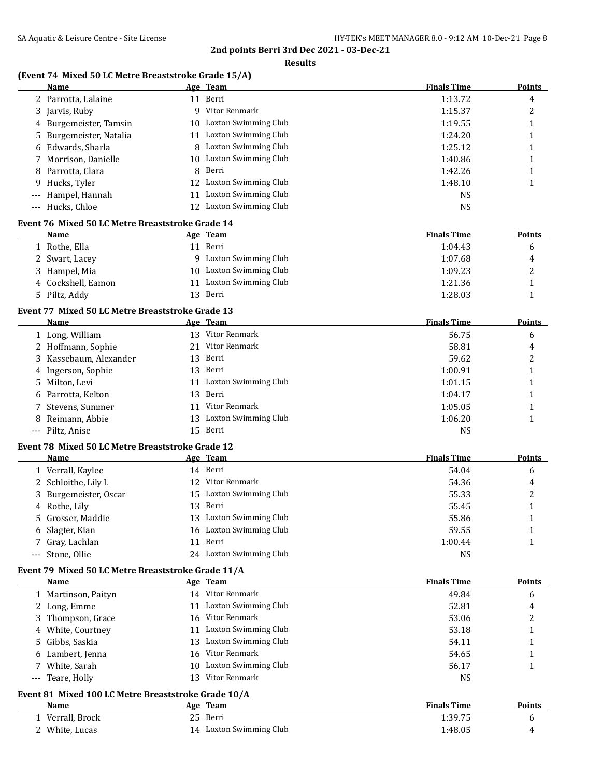**Results**

### **(Event 74 Mixed 50 LC Metre Breaststroke Grade 15/A)**

|       | Name                                                |    | Age Team                | <b>Finals Time</b> | <b>Points</b> |
|-------|-----------------------------------------------------|----|-------------------------|--------------------|---------------|
|       | 2 Parrotta, Lalaine                                 |    | 11 Berri                | 1:13.72            | 4             |
|       | 3 Jarvis, Ruby                                      |    | 9 Vitor Renmark         | 1:15.37            | 2             |
|       | 4 Burgemeister, Tamsin                              |    | 10 Loxton Swimming Club | 1:19.55            | 1             |
| 5.    | Burgemeister, Natalia                               |    | 11 Loxton Swimming Club | 1:24.20            | 1             |
|       | Edwards, Sharla                                     |    | 8 Loxton Swimming Club  | 1:25.12            | 1             |
| 7     | Morrison, Danielle                                  |    | 10 Loxton Swimming Club | 1:40.86            | 1             |
| 8     | Parrotta, Clara                                     | 8  | Berri                   | 1:42.26            | 1             |
| 9.    | Hucks, Tyler                                        |    | 12 Loxton Swimming Club | 1:48.10            | 1             |
|       | Hampel, Hannah                                      | 11 | Loxton Swimming Club    | <b>NS</b>          |               |
|       | --- Hucks, Chloe                                    |    | 12 Loxton Swimming Club | <b>NS</b>          |               |
|       | Event 76 Mixed 50 LC Metre Breaststroke Grade 14    |    |                         |                    |               |
|       | Name                                                |    | Age Team                | <b>Finals Time</b> | Points        |
|       | 1 Rothe, Ella                                       |    | 11 Berri                | 1:04.43            | 6             |
|       | 2 Swart, Lacey                                      |    | 9 Loxton Swimming Club  | 1:07.68            | 4             |
|       | 3 Hampel, Mia                                       |    | 10 Loxton Swimming Club | 1:09.23            | 2             |
|       | 4 Cockshell, Eamon                                  |    | 11 Loxton Swimming Club | 1:21.36            | 1             |
|       |                                                     |    | 13 Berri                |                    |               |
|       | 5 Piltz, Addy                                       |    |                         | 1:28.03            | 1             |
|       | Event 77 Mixed 50 LC Metre Breaststroke Grade 13    |    |                         |                    |               |
|       | Name                                                |    | Age Team                | <b>Finals Time</b> | Points        |
|       | 1 Long, William                                     |    | 13 Vitor Renmark        | 56.75              | 6             |
|       | 2 Hoffmann, Sophie                                  |    | 21 Vitor Renmark        | 58.81              | 4             |
|       | 3 Kassebaum, Alexander                              |    | 13 Berri                | 59.62              | 2             |
|       | 4 Ingerson, Sophie                                  |    | 13 Berri                | 1:00.91            | 1             |
|       | 5 Milton, Levi                                      | 11 | Loxton Swimming Club    | 1:01.15            | 1             |
|       | Parrotta, Kelton                                    | 13 | Berri                   | 1:04.17            | 1             |
|       | Stevens, Summer                                     | 11 | Vitor Renmark           | 1:05.05            | 1             |
| 8     | Reimann, Abbie                                      |    | 13 Loxton Swimming Club | 1:06.20            | 1             |
|       | --- Piltz, Anise                                    |    | 15 Berri                | <b>NS</b>          |               |
|       | Event 78 Mixed 50 LC Metre Breaststroke Grade 12    |    |                         |                    |               |
|       | Name                                                |    | Age Team                | <b>Finals Time</b> | <b>Points</b> |
|       | 1 Verrall, Kaylee                                   |    | 14 Berri                | 54.04              | 6             |
|       | 2 Schloithe, Lily L                                 |    | 12 Vitor Renmark        | 54.36              | 4             |
|       | 3 Burgemeister, Oscar                               |    | 15 Loxton Swimming Club | 55.33              | 2             |
|       | 4 Rothe, Lily                                       |    | 13 Berri                | 55.45              | 1             |
| 5.    | Grosser, Maddie                                     |    | 13 Loxton Swimming Club | 55.86              | 1             |
|       | 6 Slagter, Kian                                     |    | 16 Loxton Swimming Club | 59.55              | 1             |
|       | Gray, Lachlan                                       |    | 11 Berri                | 1:00.44            | 1             |
| $---$ | Stone, Ollie                                        |    | 24 Loxton Swimming Club | <b>NS</b>          |               |
|       | Event 79 Mixed 50 LC Metre Breaststroke Grade 11/A  |    |                         |                    |               |
|       | Name                                                |    | Age Team                | <b>Finals Time</b> | Points        |
|       | 1 Martinson, Paityn                                 |    | 14 Vitor Renmark        | 49.84              | 6             |
|       | 2 Long, Emme                                        |    | 11 Loxton Swimming Club | 52.81              | 4             |
|       | 3 Thompson, Grace                                   |    | 16 Vitor Renmark        | 53.06              | 2             |
|       | 4 White, Courtney                                   |    | 11 Loxton Swimming Club | 53.18              | 1             |
|       | 5 Gibbs, Saskia                                     |    | 13 Loxton Swimming Club | 54.11              |               |
|       | 6 Lambert, Jenna                                    |    | 16 Vitor Renmark        | 54.65              | 1<br>1        |
|       | 7 White, Sarah                                      |    | 10 Loxton Swimming Club | 56.17              | $\mathbf{1}$  |
|       | --- Teare, Holly                                    |    | 13 Vitor Renmark        | <b>NS</b>          |               |
|       |                                                     |    |                         |                    |               |
|       | Event 81 Mixed 100 LC Metre Breaststroke Grade 10/A |    |                         |                    |               |
|       | Name                                                |    | Age Team                | <b>Finals Time</b> | <b>Points</b> |
|       | 1 Verrall, Brock                                    |    | 25 Berri                | 1:39.75            | 6             |
|       | 2 White, Lucas                                      |    | 14 Loxton Swimming Club | 1:48.05            | 4             |